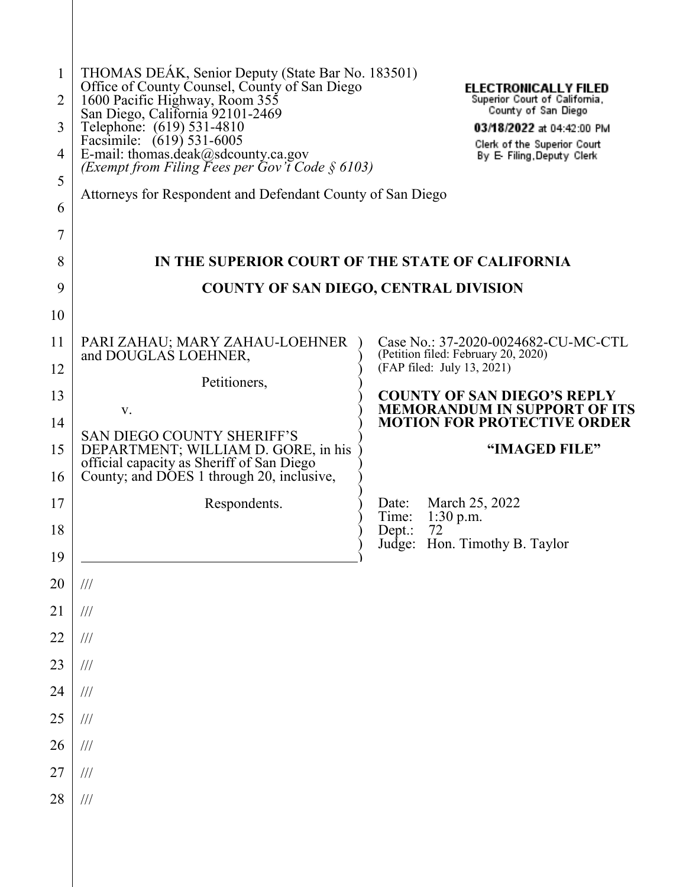| $\mathbf{1}$<br>2<br>3<br>4<br>5<br>6 | THOMAS DEAK, Senior Deputy (State Bar No. 183501)<br>Office of County Counsel, County of San Diego<br>1600 Pacific Highway, Room 355<br>San Diego, California 92101-2469<br>Telephone: (619) 531-4810<br>Facsimile: (619) 531-6005<br>E-mail: thomas.deak@sdcounty.ca.gov<br>(Exempt from Filing Fees per Gov't Code § 6103)<br>Attorneys for Respondent and Defendant County of San Diego | <b>ELECTRONICALLY FILED</b><br>Superior Court of California,<br>County of San Diego<br>03/18/2022 at 04:42:00 PM<br>Clerk of the Superior Court<br>By E- Filing, Deputy Clerk |
|---------------------------------------|--------------------------------------------------------------------------------------------------------------------------------------------------------------------------------------------------------------------------------------------------------------------------------------------------------------------------------------------------------------------------------------------|-------------------------------------------------------------------------------------------------------------------------------------------------------------------------------|
| 7                                     |                                                                                                                                                                                                                                                                                                                                                                                            |                                                                                                                                                                               |
| 8                                     | IN THE SUPERIOR COURT OF THE STATE OF CALIFORNIA<br><b>COUNTY OF SAN DIEGO, CENTRAL DIVISION</b>                                                                                                                                                                                                                                                                                           |                                                                                                                                                                               |
| 9                                     |                                                                                                                                                                                                                                                                                                                                                                                            |                                                                                                                                                                               |
| 10                                    |                                                                                                                                                                                                                                                                                                                                                                                            |                                                                                                                                                                               |
| 11<br>12                              | PARI ZAHAU; MARY ZAHAU-LOEHNER<br>and DOUGLAS LOEHNER,                                                                                                                                                                                                                                                                                                                                     | Case No.: 37-2020-0024682-CU-MC-CTL<br>(Petition filed: February 20, 2020)<br>(FAP filed: July 13, 2021)                                                                      |
| 13                                    | Petitioners,                                                                                                                                                                                                                                                                                                                                                                               | <b>COUNTY OF SAN DIEGO'S REPLY</b>                                                                                                                                            |
| 14                                    | V.                                                                                                                                                                                                                                                                                                                                                                                         | <b>MEMORANDUM IN SUPPORT OF ITS</b><br><b>MOTION FOR PROTECTIVE ORDER</b>                                                                                                     |
|                                       |                                                                                                                                                                                                                                                                                                                                                                                            |                                                                                                                                                                               |
| 15                                    | <b>SAN DIEGO COUNTY SHERIFF'S</b><br>DEPARTMENT; WILLIAM D. GORE, in his                                                                                                                                                                                                                                                                                                                   | "IMAGED FILE"                                                                                                                                                                 |
| 16                                    | official capacity as Sheriff of San Diego<br>County; and DOES 1 through 20, inclusive,                                                                                                                                                                                                                                                                                                     |                                                                                                                                                                               |
| 17                                    | Respondents.                                                                                                                                                                                                                                                                                                                                                                               | March 25, 2022<br>Date:                                                                                                                                                       |
| 18                                    |                                                                                                                                                                                                                                                                                                                                                                                            | $1:30$ p.m.<br>Time:<br>72<br>Depth:                                                                                                                                          |
| 19                                    |                                                                                                                                                                                                                                                                                                                                                                                            | Judge: Hon. Timothy B. Taylor                                                                                                                                                 |
| 20                                    | $/ \! / \! /$                                                                                                                                                                                                                                                                                                                                                                              |                                                                                                                                                                               |
| 21                                    | $/ \! / \! /$                                                                                                                                                                                                                                                                                                                                                                              |                                                                                                                                                                               |
| 22                                    | $/ \! / \! /$                                                                                                                                                                                                                                                                                                                                                                              |                                                                                                                                                                               |
| 23                                    | $/ \! / \! /$                                                                                                                                                                                                                                                                                                                                                                              |                                                                                                                                                                               |
| 24                                    | $/ \! / \! /$                                                                                                                                                                                                                                                                                                                                                                              |                                                                                                                                                                               |
| 25                                    | $/ \! / \! /$                                                                                                                                                                                                                                                                                                                                                                              |                                                                                                                                                                               |
| 26                                    | $/ \! / \! /$                                                                                                                                                                                                                                                                                                                                                                              |                                                                                                                                                                               |
| 27                                    | $/ \! / \! /$                                                                                                                                                                                                                                                                                                                                                                              |                                                                                                                                                                               |
| 28                                    | $/ \! / \! /$                                                                                                                                                                                                                                                                                                                                                                              |                                                                                                                                                                               |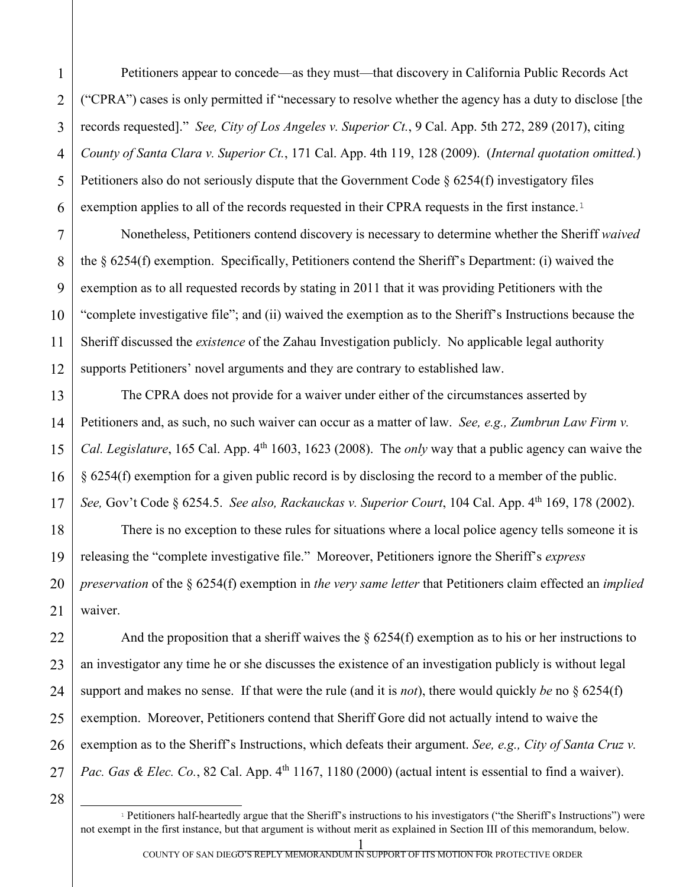Petitioners appear to concede—as they must—that discovery in California Public Records Act ("CPRA") cases is only permitted if "necessary to resolve whether the agency has a duty to disclose [the records requested]." *See, City of Los Angeles v. Superior Ct.*, 9 Cal. App. 5th 272, 289 (2017), citing *County of Santa Clara v. Superior Ct.*, 171 Cal. App. 4th 119, 128 (2009). (*Internal quotation omitted.*) Petitioners also do not seriously dispute that the Government Code  $\S 6254(f)$  investigatory files exemption applies to all of the records requested in their CPRA requests in the first instance.<sup>[1](#page-1-0)</sup>

Nonetheless, Petitioners contend discovery is necessary to determine whether the Sheriff *waived* the § 6254(f) exemption. Specifically, Petitioners contend the Sheriff's Department: (i) waived the exemption as to all requested records by stating in 2011 that it was providing Petitioners with the "complete investigative file"; and (ii) waived the exemption as to the Sheriff's Instructions because the Sheriff discussed the *existence* of the Zahau Investigation publicly. No applicable legal authority supports Petitioners' novel arguments and they are contrary to established law.

The CPRA does not provide for a waiver under either of the circumstances asserted by Petitioners and, as such, no such waiver can occur as a matter of law. *See, e.g., Zumbrun Law Firm v. Cal. Legislature*, 165 Cal. App. 4<sup>th</sup> 1603, 1623 (2008). The *only* way that a public agency can waive the § 6254(f) exemption for a given public record is by disclosing the record to a member of the public. *See,* Gov't Code § 6254.5. *See also, Rackauckas v. Superior Court*, 104 Cal. App. 4th 169, 178 (2002).

There is no exception to these rules for situations where a local police agency tells someone it is releasing the "complete investigative file." Moreover, Petitioners ignore the Sheriff's *express preservation* of the § 6254(f) exemption in *the very same letter* that Petitioners claim effected an *implied* waiver.

And the proposition that a sheriff waives the  $\S 6254(f)$  exemption as to his or her instructions to an investigator any time he or she discusses the existence of an investigation publicly is without legal support and makes no sense. If that were the rule (and it is *not*), there would quickly *be* no § 6254(f) exemption. Moreover, Petitioners contend that Sheriff Gore did not actually intend to waive the exemption as to the Sheriff's Instructions, which defeats their argument. *See, e.g., City of Santa Cruz v. Pac. Gas & Elec. Co.*, 82 Cal. App. 4<sup>th</sup> 1167, 1180 (2000) (actual intent is essential to find a waiver).

<span id="page-1-0"></span>28

1

2

3

4

5

6

7

8

9

10

11

12

13

14

15

16

17

18

19

20

21

22

23

24

25

26

27

 $\overline{a}$ <sup>1</sup> Petitioners half-heartedly argue that the Sheriff's instructions to his investigators ("the Sheriff's Instructions") were not exempt in the first instance, but that argument is without merit as explained in Section III of this memorandum, below.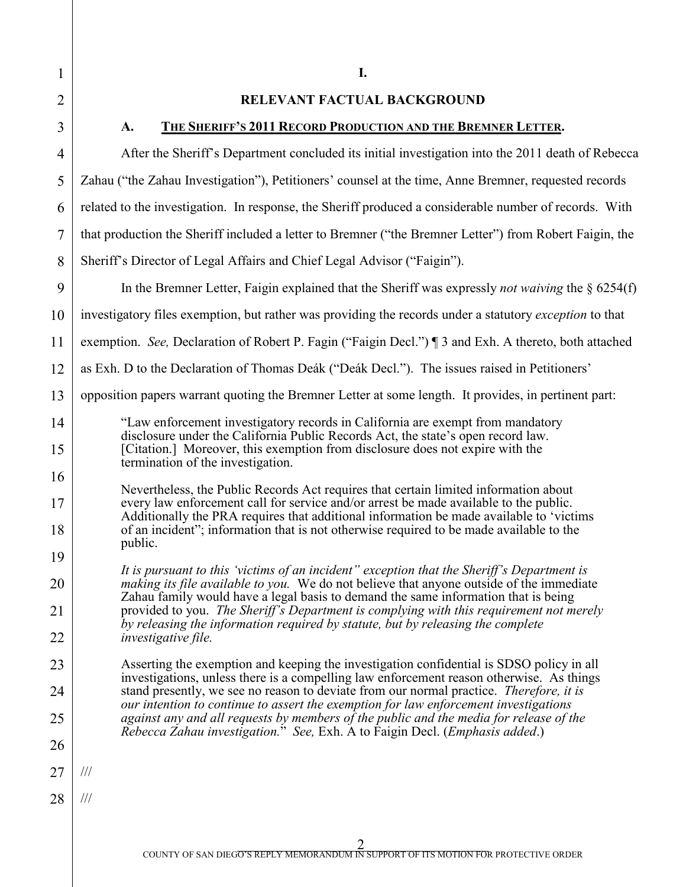1

2

3

## **RELEVANT FACTUAL BACKGROUND**

**A. THE SHERIFF'S 2011 RECORD PRODUCTION AND THE BREMNER LETTER.**

4 5 6 7 8 9 10 11 12 13 14 15 16 17 18 19 20 21 22 23 24 25 26 27 28 After the Sheriff's Department concluded its initial investigation into the 2011 death of Rebecca Zahau ("the Zahau Investigation"), Petitioners' counsel at the time, Anne Bremner, requested records related to the investigation. In response, the Sheriff produced a considerable number of records. With that production the Sheriff included a letter to Bremner ("the Bremner Letter") from Robert Faigin, the Sheriff's Director of Legal Affairs and Chief Legal Advisor ("Faigin"). In the Bremner Letter, Faigin explained that the Sheriff was expressly *not waiving* the § 6254(f) investigatory files exemption, but rather was providing the records under a statutory *exception* to that exemption. *See,* Declaration of Robert P. Fagin ("Faigin Decl.") ¶ 3 and Exh. A thereto, both attached as Exh. D to the Declaration of Thomas Deák ("Deák Decl."). The issues raised in Petitioners' opposition papers warrant quoting the Bremner Letter at some length. It provides, in pertinent part: "Law enforcement investigatory records in California are exempt from mandatory disclosure under the California Public Records Act, the state's open record law. [Citation.] Moreover, this exemption from disclosure does not expire with the termination of the investigation. Nevertheless, the Public Records Act requires that certain limited information about every law enforcement call for service and/or arrest be made available to the public. Additionally the PRA requires that additional information be made available to 'victims of an incident"; information that is not otherwise required to be made available to the public. *It is pursuant to this 'victims of an incident" exception that the Sheriff's Department is making its file available to you.* We do not believe that anyone outside of the immediate Zahau family would have a legal basis to demand the same information that is being provided to you. *The Sheriff's Department is complying with this requirement not merely by releasing the information required by statute, but by releasing the complete investigative file.* Asserting the exemption and keeping the investigation confidential is SDSO policy in all investigations, unless there is a compelling law enforcement reason otherwise. As things stand presently, we see no reason to deviate from our normal practice. *Therefore, it is our intention to continue to assert the exemption for law enforcement investigations against any and all requests by members of the public and the media for release of the Rebecca Zahau investigation.*" *See,* Exh. A to Faigin Decl. (*Emphasis added*.) /// ///

**I.**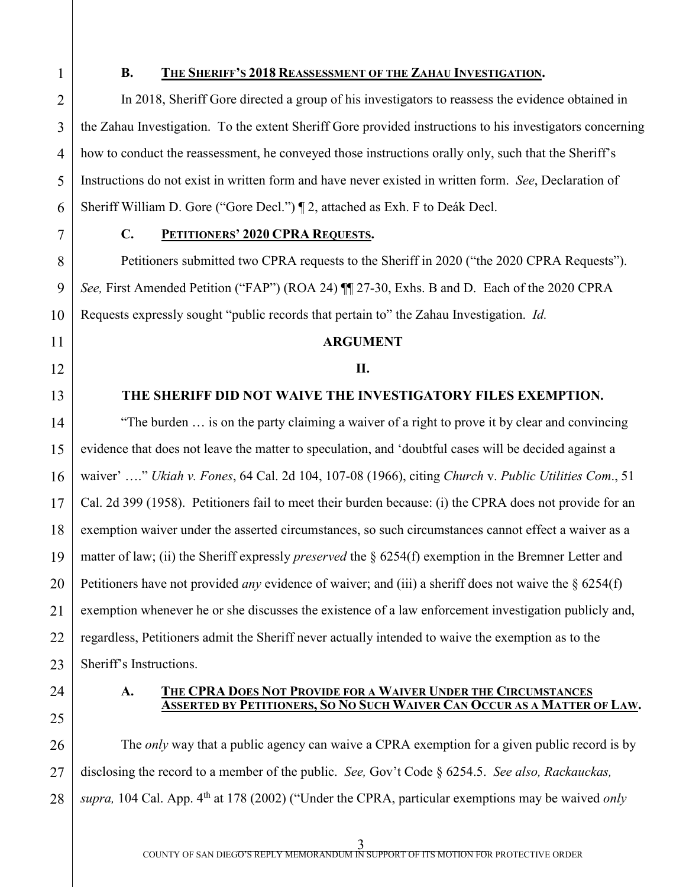1 2

3

4

5

6

7

8

9

10

11

12

13

14

15

16

17

18

19

20

21

22

23

## **B. THE SHERIFF'S 2018 REASSESSMENT OF THE ZAHAU INVESTIGATION.**

In 2018, Sheriff Gore directed a group of his investigators to reassess the evidence obtained in the Zahau Investigation. To the extent Sheriff Gore provided instructions to his investigators concerning how to conduct the reassessment, he conveyed those instructions orally only, such that the Sheriff's Instructions do not exist in written form and have never existed in written form. *See*, Declaration of Sheriff William D. Gore ("Gore Decl.") ¶ 2, attached as Exh. F to Deák Decl.

# **C. PETITIONERS' 2020 CPRA REQUESTS.**

Petitioners submitted two CPRA requests to the Sheriff in 2020 ("the 2020 CPRA Requests"). *See,* First Amended Petition ("FAP") (ROA 24) ¶¶ 27-30, Exhs. B and D. Each of the 2020 CPRA Requests expressly sought "public records that pertain to" the Zahau Investigation. *Id.*

## **ARGUMENT**

## **II.**

# **THE SHERIFF DID NOT WAIVE THE INVESTIGATORY FILES EXEMPTION.**

"The burden … is on the party claiming a waiver of a right to prove it by clear and convincing evidence that does not leave the matter to speculation, and 'doubtful cases will be decided against a waiver' …." *Ukiah v. Fones*, 64 Cal. 2d 104, 107-08 (1966), citing *Church* v. *Public Utilities Com*., 51 Cal. 2d 399 (1958). Petitioners fail to meet their burden because: (i) the CPRA does not provide for an exemption waiver under the asserted circumstances, so such circumstances cannot effect a waiver as a matter of law; (ii) the Sheriff expressly *preserved* the § 6254(f) exemption in the Bremner Letter and Petitioners have not provided *any* evidence of waiver; and (iii) a sheriff does not waive the § 6254(f) exemption whenever he or she discusses the existence of a law enforcement investigation publicly and, regardless, Petitioners admit the Sheriff never actually intended to waive the exemption as to the Sheriff's Instructions.

- 24
- 25

# **A. THE CPRA DOES NOT PROVIDE FOR A WAIVER UNDER THE CIRCUMSTANCES ASSERTED BY PETITIONERS, SO NO SUCH WAIVER CAN OCCUR AS A MATTER OF LAW.**

26 27 28 The *only* way that a public agency can waive a CPRA exemption for a given public record is by disclosing the record to a member of the public. *See,* Gov't Code § 6254.5. *See also, Rackauckas, supra,* 104 Cal. App. 4<sup>th</sup> at 178 (2002) ("Under the CPRA, particular exemptions may be waived *only*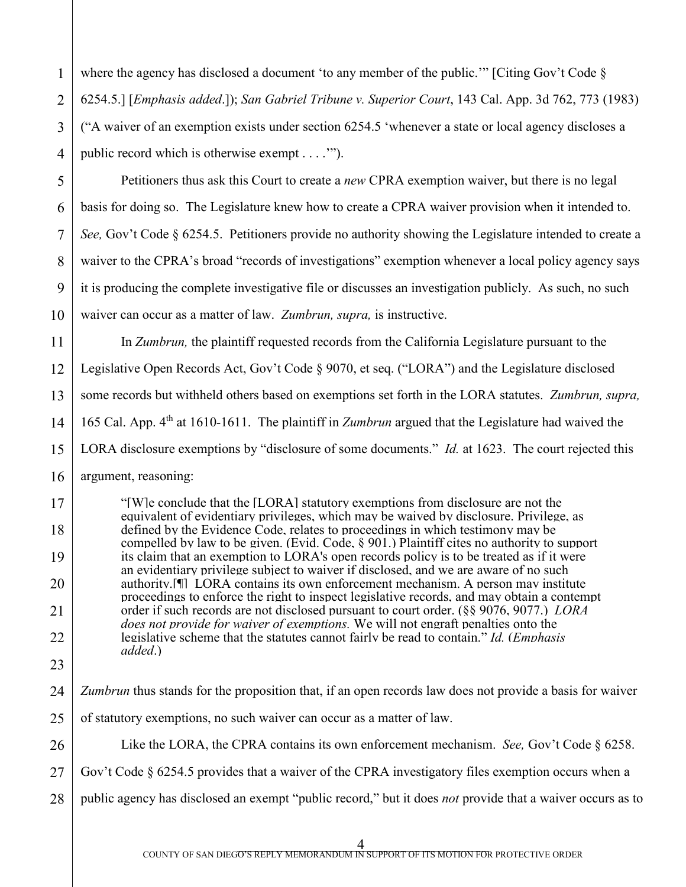1 2 3 4 where the agency has disclosed a document 'to any member of the public.'" [Citing Gov't Code § 6254.5.] [*Emphasis added*.]); *San Gabriel Tribune v. Superior Court*, 143 Cal. App. 3d 762, 773 (1983) ("A waiver of an exemption exists under section 6254.5 'whenever a state or local agency discloses a public record which is otherwise exempt . . . .'").

5

6

7

8

9

10

17

18

19

20

21

22

23

26

Petitioners thus ask this Court to create a *new* CPRA exemption waiver, but there is no legal basis for doing so. The Legislature knew how to create a CPRA waiver provision when it intended to. *See, Gov't Code § 6254.5.* Petitioners provide no authority showing the Legislature intended to create a waiver to the CPRA's broad "records of investigations" exemption whenever a local policy agency says it is producing the complete investigative file or discusses an investigation publicly. As such, no such waiver can occur as a matter of law. *Zumbrun, supra,* is instructive.

11 12 13 14 15 16 In *Zumbrun,* the plaintiff requested records from the California Legislature pursuant to the Legislative Open Records Act, Gov't Code § 9070, et seq. ("LORA") and the Legislature disclosed some records but withheld others based on exemptions set forth in the LORA statutes. *Zumbrun, supra,*  165 Cal. App. 4th at 1610-1611. The plaintiff in *Zumbrun* argued that the Legislature had waived the LORA disclosure exemptions by "disclosure of some documents." *Id.* at 1623. The court rejected this argument, reasoning:

"[W]e conclude that the [LORA] statutory exemptions from disclosure are not the equivalent of evidentiary privileges, which may be waived by disclosure. Privilege, as defined by the Evidence Code, relates to proceedings in which testimony may be compelled by law to be given. (Evid. Code, § 901.) Plaintiff cites no authority to support its claim that an exemption to LORA's open records policy is to be treated as if it were an evidentiary privilege subject to waiver if disclosed, and we are aware of no such authority.[¶] LORA contains its own enforcement mechanism. A person may institute proceedings to enforce the right to inspect legislative records, and may obtain a contempt order if such records are not disclosed pursuant to court order. (§§ 9076, 9077.) *LORA does not provide for waiver of exemptions.* We will not engraft penalties onto the legislative scheme that the statutes cannot fairly be read to contain." *Id.* (*Emphasis added*.)

- 24 25 *Zumbrun* thus stands for the proposition that, if an open records law does not provide a basis for waiver of statutory exemptions, no such waiver can occur as a matter of law.
	- Like the LORA, the CPRA contains its own enforcement mechanism. *See,* Gov't Code § 6258.
- 27 Gov't Code § 6254.5 provides that a waiver of the CPRA investigatory files exemption occurs when a
- 28 public agency has disclosed an exempt "public record," but it does *not* provide that a waiver occurs as to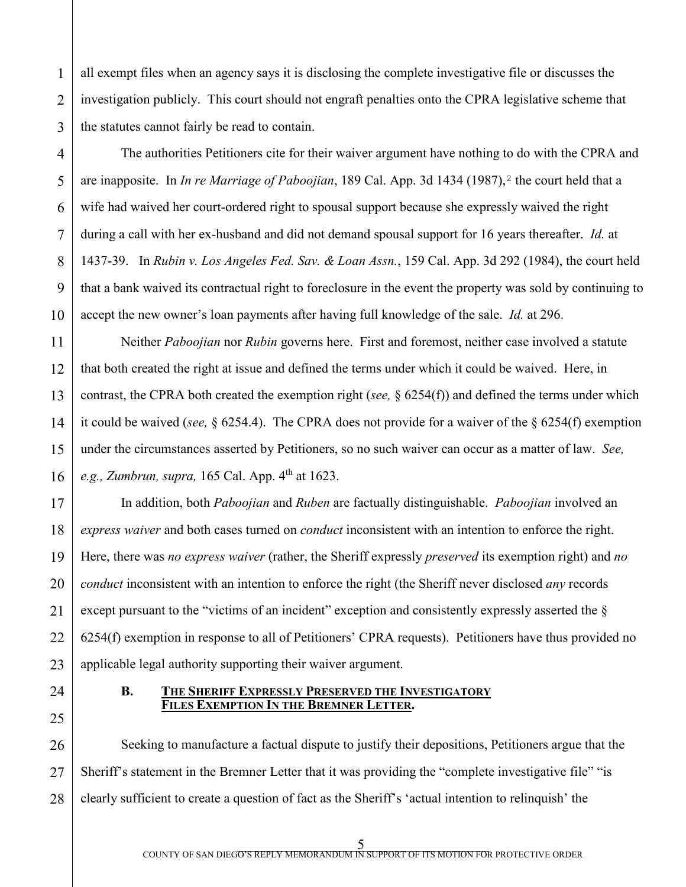all exempt files when an agency says it is disclosing the complete investigative file or discusses the investigation publicly. This court should not engraft penalties onto the CPRA legislative scheme that the statutes cannot fairly be read to contain.

The authorities Petitioners cite for their waiver argument have nothing to do with the CPRA and are inapposite. In *In re Marriage of Paboojian*, 189 Cal. App. 3d 1434 (1987), <sup>[2](#page-5-0)</sup> the court held that a wife had waived her court-ordered right to spousal support because she expressly waived the right during a call with her ex-husband and did not demand spousal support for 16 years thereafter. *Id.* at 1437-39. In *Rubin v. Los Angeles Fed. Sav. & Loan Assn.*, 159 Cal. App. 3d 292 (1984), the court held that a bank waived its contractual right to foreclosure in the event the property was sold by continuing to accept the new owner's loan payments after having full knowledge of the sale. *Id.* at 296.

Neither *Paboojian* nor *Rubin* governs here. First and foremost, neither case involved a statute that both created the right at issue and defined the terms under which it could be waived. Here, in contrast, the CPRA both created the exemption right (*see,* § 6254(f)) and defined the terms under which it could be waived (*see,* § 6254.4). The CPRA does not provide for a waiver of the § 6254(f) exemption under the circumstances asserted by Petitioners, so no such waiver can occur as a matter of law. *See, e.g., Zumbrun, supra,* 165 Cal. App. 4<sup>th</sup> at 1623.

In addition, both *Paboojian* and *Ruben* are factually distinguishable. *Paboojian* involved an *express waiver* and both cases turned on *conduct* inconsistent with an intention to enforce the right. Here, there was *no express waiver* (rather, the Sheriff expressly *preserved* its exemption right) and *no conduct* inconsistent with an intention to enforce the right (the Sheriff never disclosed *any* records except pursuant to the "victims of an incident" exception and consistently expressly asserted the § 6254(f) exemption in response to all of Petitioners' CPRA requests). Petitioners have thus provided no applicable legal authority supporting their waiver argument.

# **B. THE SHERIFF EXPRESSLY PRESERVED THE INVESTIGATORY FILES EXEMPTION IN THE BREMNER LETTER.**

<span id="page-5-0"></span>Seeking to manufacture a factual dispute to justify their depositions, Petitioners argue that the Sheriff's statement in the Bremner Letter that it was providing the "complete investigative file" "is clearly sufficient to create a question of fact as the Sheriff's 'actual intention to relinquish' the

1

2

3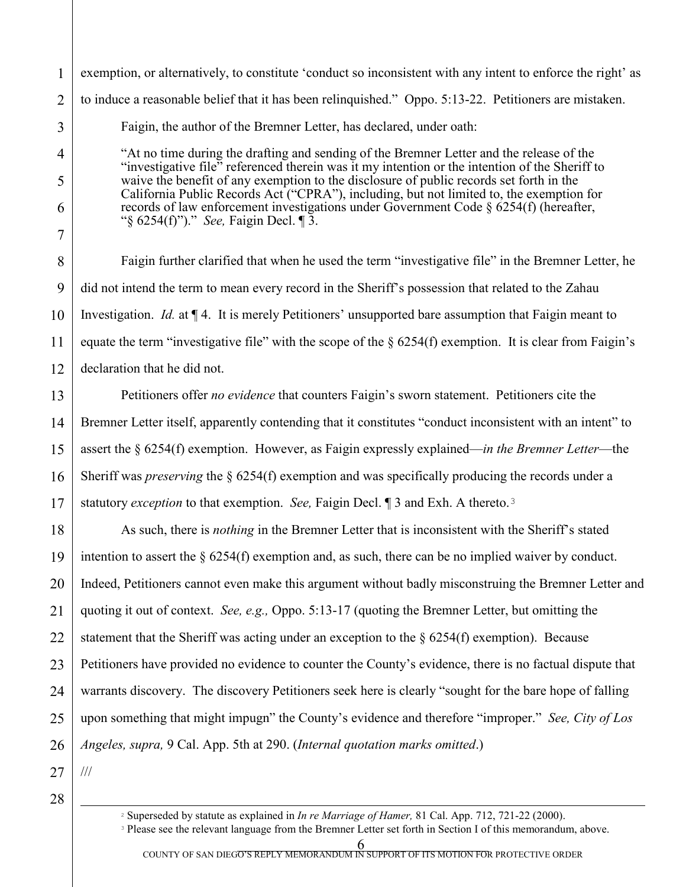///

<span id="page-6-0"></span> $\overline{a}$ 

exemption, or alternatively, to constitute 'conduct so inconsistent with any intent to enforce the right' as to induce a reasonable belief that it has been relinquished." Oppo. 5:13-22. Petitioners are mistaken. Faigin, the author of the Bremner Letter, has declared, under oath: "At no time during the drafting and sending of the Bremner Letter and the release of the "investigative file" referenced therein was it my intention or the intention of the Sheriff to

waive the benefit of any exemption to the disclosure of public records set forth in the California Public Records Act ("CPRA"), including, but not limited to, the exemption for records of law enforcement investigations under Government Code § 6254(f) (hereafter, "§ 6254(f)")." *See,* Faigin Decl. ¶ 3.

Faigin further clarified that when he used the term "investigative file" in the Bremner Letter, he did not intend the term to mean every record in the Sheriff's possession that related to the Zahau Investigation. *Id.* at  $\P$  4. It is merely Petitioners' unsupported bare assumption that Faigin meant to equate the term "investigative file" with the scope of the  $\S 6254(f)$  exemption. It is clear from Faigin's declaration that he did not.

Petitioners offer *no evidence* that counters Faigin's sworn statement. Petitioners cite the Bremner Letter itself, apparently contending that it constitutes "conduct inconsistent with an intent" to assert the § 6254(f) exemption. However, as Faigin expressly explained—*in the Bremner Letter*—the Sheriff was *preserving* the § 6254(f) exemption and was specifically producing the records under a statutory *exception* to that exemption. *See,* Faigin Decl. ¶ 3 and Exh. A thereto.[3](#page-6-0)

As such, there is *nothing* in the Bremner Letter that is inconsistent with the Sheriff's stated intention to assert the  $\S 6254(f)$  exemption and, as such, there can be no implied waiver by conduct. Indeed, Petitioners cannot even make this argument without badly misconstruing the Bremner Letter and quoting it out of context. *See, e.g.,* Oppo. 5:13-17 (quoting the Bremner Letter, but omitting the statement that the Sheriff was acting under an exception to the  $\S 6254(f)$  exemption). Because Petitioners have provided no evidence to counter the County's evidence, there is no factual dispute that warrants discovery. The discovery Petitioners seek here is clearly "sought for the bare hope of falling upon something that might impugn" the County's evidence and therefore "improper." *See, City of Los Angeles, supra,* 9 Cal. App. 5th at 290. (*Internal quotation marks omitted*.)

<sup>2</sup> Superseded by statute as explained in *In re Marriage of Hamer,* 81 Cal. App. 712, 721-22 (2000).

<sup>3</sup> Please see the relevant language from the Bremner Letter set forth in Section I of this memorandum, above.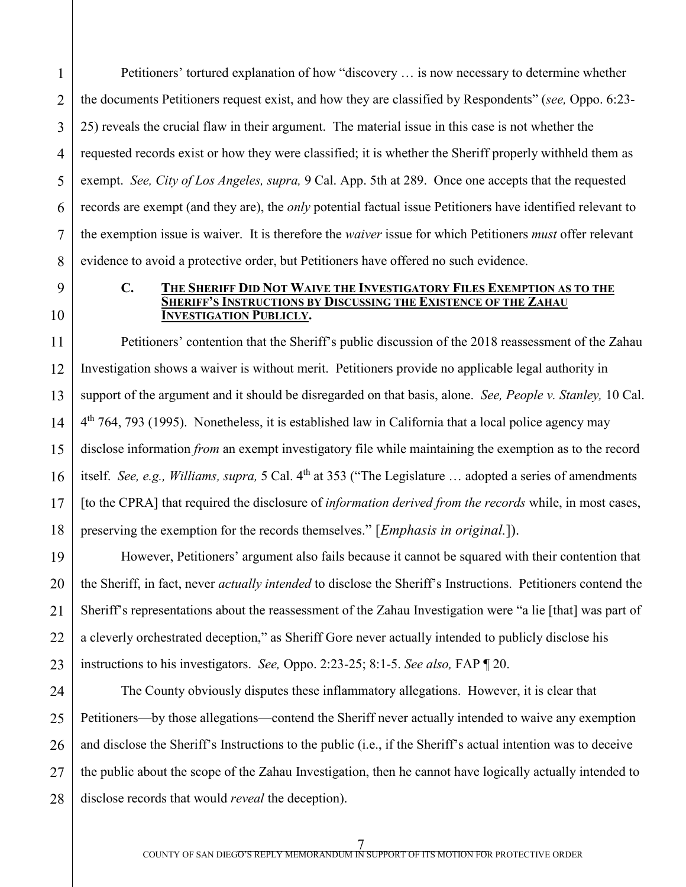Petitioners' tortured explanation of how "discovery … is now necessary to determine whether the documents Petitioners request exist, and how they are classified by Respondents" (*see,* Oppo. 6:23- 25) reveals the crucial flaw in their argument. The material issue in this case is not whether the requested records exist or how they were classified; it is whether the Sheriff properly withheld them as exempt. *See, City of Los Angeles, supra,* 9 Cal. App. 5th at 289. Once one accepts that the requested records are exempt (and they are), the *only* potential factual issue Petitioners have identified relevant to the exemption issue is waiver. It is therefore the *waiver* issue for which Petitioners *must* offer relevant evidence to avoid a protective order, but Petitioners have offered no such evidence.

1

2

3

4

#### **C. THE SHERIFF DID NOT WAIVE THE INVESTIGATORY FILES EXEMPTION AS TO THE SHERIFF'S INSTRUCTIONS BY DISCUSSING THE EXISTENCE OF THE ZAHAU INVESTIGATION PUBLICLY.**

Petitioners' contention that the Sheriff's public discussion of the 2018 reassessment of the Zahau Investigation shows a waiver is without merit. Petitioners provide no applicable legal authority in support of the argument and it should be disregarded on that basis, alone. *See, People v. Stanley,* 10 Cal.  $4<sup>th</sup>$  764, 793 (1995). Nonetheless, it is established law in California that a local police agency may disclose information *from* an exempt investigatory file while maintaining the exemption as to the record itself. *See, e.g., Williams, supra,* 5 Cal. 4<sup>th</sup> at 353 ("The Legislature ... adopted a series of amendments [to the CPRA] that required the disclosure of *information derived from the records* while, in most cases, preserving the exemption for the records themselves." [*Emphasis in original.*]).

However, Petitioners' argument also fails because it cannot be squared with their contention that the Sheriff, in fact, never *actually intended* to disclose the Sheriff's Instructions. Petitioners contend the Sheriff's representations about the reassessment of the Zahau Investigation were "a lie [that] was part of a cleverly orchestrated deception," as Sheriff Gore never actually intended to publicly disclose his instructions to his investigators. *See,* Oppo. 2:23-25; 8:1-5. *See also,* FAP ¶ 20.

27 28 The County obviously disputes these inflammatory allegations. However, it is clear that Petitioners—by those allegations—contend the Sheriff never actually intended to waive any exemption and disclose the Sheriff's Instructions to the public (i.e., if the Sheriff's actual intention was to deceive the public about the scope of the Zahau Investigation, then he cannot have logically actually intended to disclose records that would *reveal* the deception).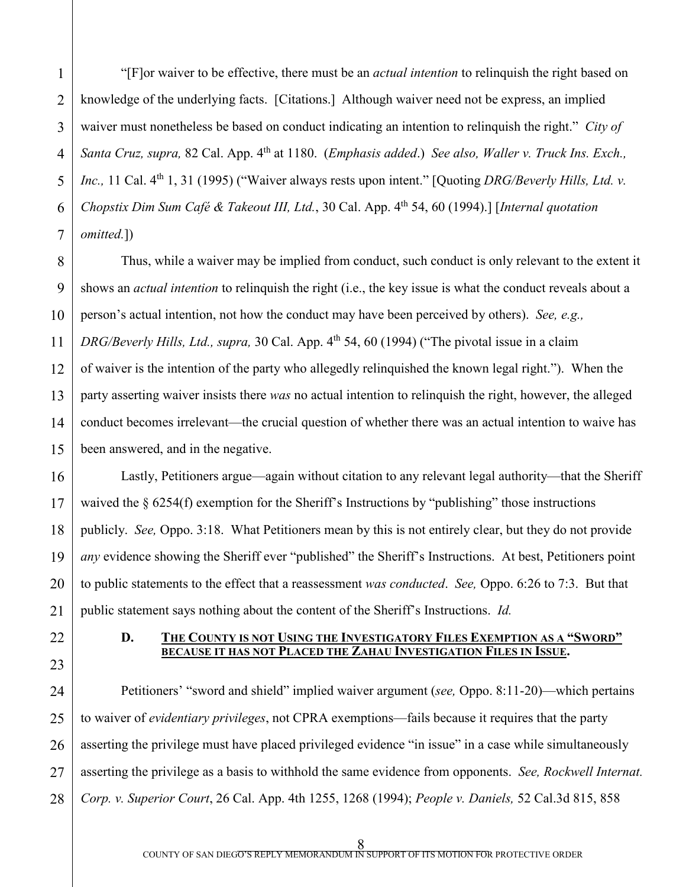1 2 3 4 5 "[F]or waiver to be effective, there must be an *actual intention* to relinquish the right based on knowledge of the underlying facts. [Citations.] Although waiver need not be express, an implied waiver must nonetheless be based on conduct indicating an intention to relinquish the right." *City of Santa Cruz, supra,* 82 Cal. App. 4th at 1180. (*Emphasis added*.) *See also, Waller v. Truck Ins. Exch., Inc.,* 11 Cal. 4<sup>th</sup> 1, 31 (1995) ("Waiver always rests upon intent." [Quoting *DRG/Beverly Hills, Ltd. v. Chopstix Dim Sum Café & Takeout III, Ltd., 30 Cal. App. 4<sup>th</sup> 54, 60 (1994).] [<i>Internal quotation omitted.*])

Thus, while a waiver may be implied from conduct, such conduct is only relevant to the extent it shows an *actual intention* to relinquish the right (i.e., the key issue is what the conduct reveals about a person's actual intention, not how the conduct may have been perceived by others). *See, e.g., DRG/Beverly Hills, Ltd., supra,* 30 Cal. App. 4<sup>th</sup> 54, 60 (1994) ("The pivotal issue in a claim of waiver is the intention of the party who allegedly relinquished the known legal right."). When the party asserting waiver insists there *was* no actual intention to relinquish the right, however, the alleged conduct becomes irrelevant—the crucial question of whether there was an actual intention to waive has been answered, and in the negative.

Lastly, Petitioners argue—again without citation to any relevant legal authority—that the Sheriff waived the § 6254(f) exemption for the Sheriff's Instructions by "publishing" those instructions publicly. *See,* Oppo. 3:18. What Petitioners mean by this is not entirely clear, but they do not provide *any* evidence showing the Sheriff ever "published" the Sheriff's Instructions. At best, Petitioners point to public statements to the effect that a reassessment *was conducted*. *See,* Oppo. 6:26 to 7:3. But that public statement says nothing about the content of the Sheriff's Instructions. *Id.*

- 
- **D.** THE COUNTY IS NOT USING THE INVESTIGATORY FILES EXEMPTION AS A "SWORD" BECAUSE IT HAS NOT PLACED THE ZAHAU INVESTIGATION FILES IN ISSUE.

Petitioners' "sword and shield" implied waiver argument (*see,* Oppo. 8:11-20)—which pertains to waiver of *evidentiary privileges*, not CPRA exemptions—fails because it requires that the party asserting the privilege must have placed privileged evidence "in issue" in a case while simultaneously asserting the privilege as a basis to withhold the same evidence from opponents. *See, Rockwell Internat. Corp. v. Superior Court*, 26 Cal. App. 4th 1255, 1268 (1994); *People v. Daniels,* 52 Cal.3d 815, 858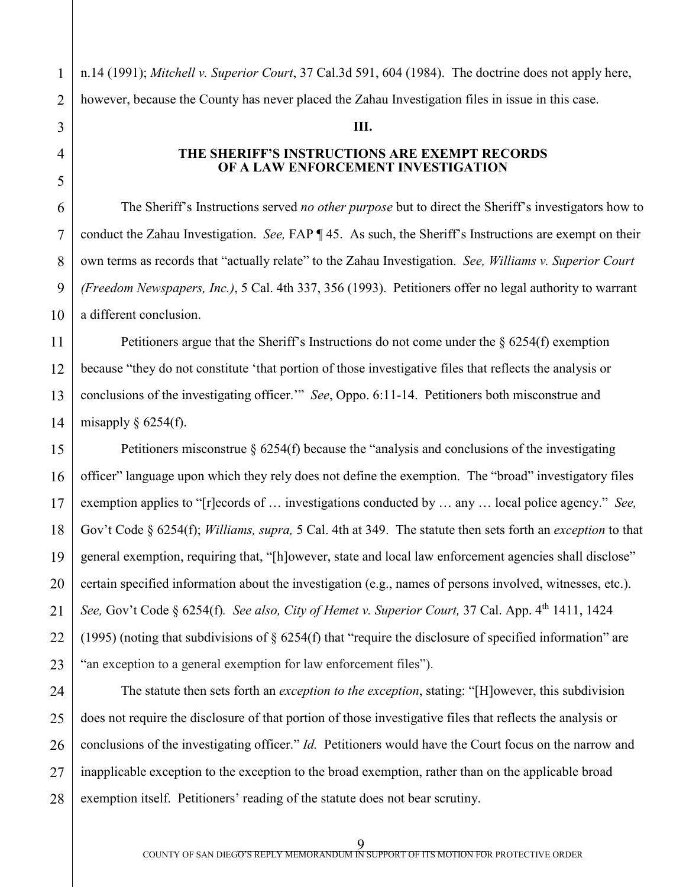n.14 (1991); *Mitchell v. Superior Court*, 37 Cal.3d 591, 604 (1984). The doctrine does not apply here, however, because the County has never placed the Zahau Investigation files in issue in this case.

# **THE SHERIFF'S INSTRUCTIONS ARE EXEMPT RECORDS OF A LAW ENFORCEMENT INVESTIGATION**

**III.**

The Sheriff's Instructions served *no other purpose* but to direct the Sheriff's investigators how to conduct the Zahau Investigation. *See,* FAP ¶ 45. As such, the Sheriff's Instructions are exempt on their own terms as records that "actually relate" to the Zahau Investigation. *See, Williams v. Superior Court (Freedom Newspapers, Inc.)*, 5 Cal. 4th 337, 356 (1993). Petitioners offer no legal authority to warrant a different conclusion.

Petitioners argue that the Sheriff's Instructions do not come under the § 6254(f) exemption because "they do not constitute 'that portion of those investigative files that reflects the analysis or conclusions of the investigating officer.'" *See*, Oppo. 6:11-14. Petitioners both misconstrue and misapply  $\S$  6254(f).

Petitioners misconstrue § 6254(f) because the "analysis and conclusions of the investigating officer" language upon which they rely does not define the exemption. The "broad" investigatory files exemption applies to "[r]ecords of … investigations conducted by … any … local police agency." *See,*  Gov't Code § 6254(f); *Williams, supra,* 5 Cal. 4th at 349. The statute then sets forth an *exception* to that general exemption, requiring that, "[h]owever, state and local law enforcement agencies shall disclose" certain specified information about the investigation (e.g., names of persons involved, witnesses, etc.). *See,* Gov't Code § 6254(f)*. See also, City of Hemet v. Superior Court,* 37 Cal. App. 4th 1411, 1424 (1995) (noting that subdivisions of  $\S$  6254(f) that "require the disclosure of specified information" are "an exception to a general exemption for law enforcement files").

The statute then sets forth an *exception to the exception*, stating: "[H]owever, this subdivision does not require the disclosure of that portion of those investigative files that reflects the analysis or conclusions of the investigating officer." *Id.* Petitioners would have the Court focus on the narrow and inapplicable exception to the exception to the broad exemption, rather than on the applicable broad exemption itself. Petitioners' reading of the statute does not bear scrutiny.